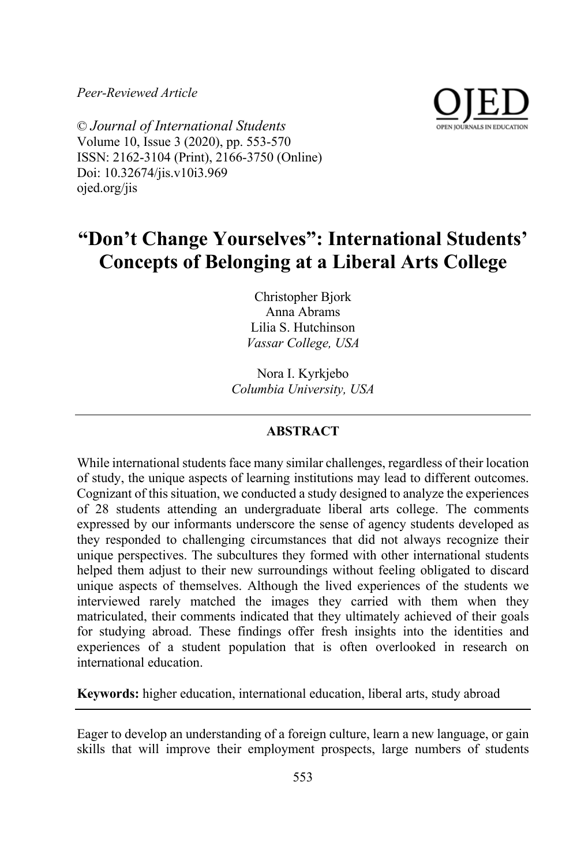*Peer-Reviewed Article*



© *Journal of International Students* Volume 10, Issue 3 (2020), pp. 553-570 ISSN: 2162-3104 (Print), 2166-3750 (Online) Doi: 10.32674/jis.v10i3.969 ojed.org/jis

# **"Don't Change Yourselves": International Students' Concepts of Belonging at a Liberal Arts College**

Christopher Bjork Anna Abrams Lilia S. Hutchinson *Vassar College, USA*

Nora I. Kyrkjebo *Columbia University, USA*

# **ABSTRACT**

While international students face many similar challenges, regardless of their location of study, the unique aspects of learning institutions may lead to different outcomes. Cognizant of this situation, we conducted a study designed to analyze the experiences of 28 students attending an undergraduate liberal arts college. The comments expressed by our informants underscore the sense of agency students developed as they responded to challenging circumstances that did not always recognize their unique perspectives. The subcultures they formed with other international students helped them adjust to their new surroundings without feeling obligated to discard unique aspects of themselves. Although the lived experiences of the students we interviewed rarely matched the images they carried with them when they matriculated, their comments indicated that they ultimately achieved of their goals for studying abroad. These findings offer fresh insights into the identities and experiences of a student population that is often overlooked in research on international education.

**Keywords:** higher education, international education, liberal arts, study abroad

Eager to develop an understanding of a foreign culture, learn a new language, or gain skills that will improve their employment prospects, large numbers of students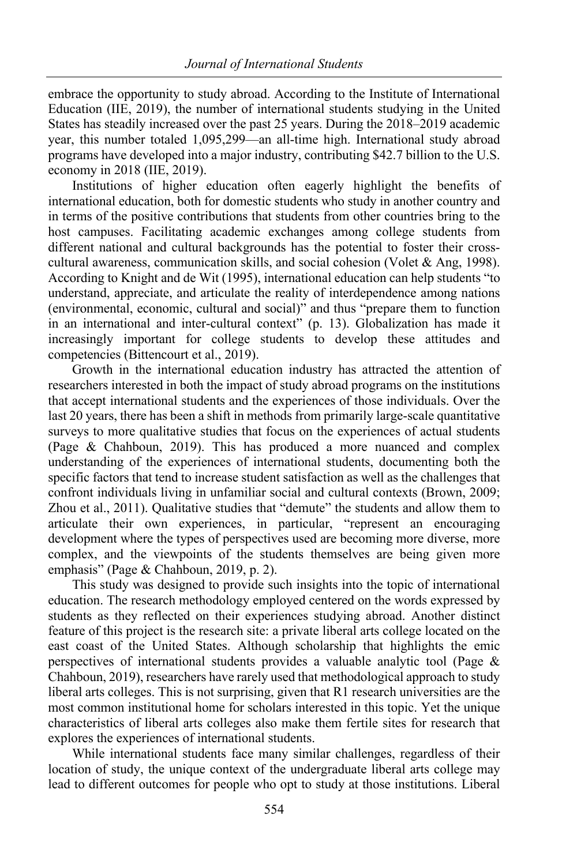embrace the opportunity to study abroad. According to the Institute of International Education (IIE, 2019), the number of international students studying in the United States has steadily increased over the past 25 years. During the 2018–2019 academic year, this number totaled 1,095,299—an all-time high. International study abroad programs have developed into a major industry, contributing \$42.7 billion to the U.S. economy in 2018 (IIE, 2019).

Institutions of higher education often eagerly highlight the benefits of international education, both for domestic students who study in another country and in terms of the positive contributions that students from other countries bring to the host campuses. Facilitating academic exchanges among college students from different national and cultural backgrounds has the potential to foster their crosscultural awareness, communication skills, and social cohesion (Volet & Ang, 1998). According to Knight and de Wit (1995), international education can help students "to understand, appreciate, and articulate the reality of interdependence among nations (environmental, economic, cultural and social)" and thus "prepare them to function in an international and inter-cultural context" (p. 13). Globalization has made it increasingly important for college students to develop these attitudes and competencies (Bittencourt et al., 2019).

Growth in the international education industry has attracted the attention of researchers interested in both the impact of study abroad programs on the institutions that accept international students and the experiences of those individuals. Over the last 20 years, there has been a shift in methods from primarily large-scale quantitative surveys to more qualitative studies that focus on the experiences of actual students (Page & Chahboun, 2019). This has produced a more nuanced and complex understanding of the experiences of international students, documenting both the specific factors that tend to increase student satisfaction as well as the challenges that confront individuals living in unfamiliar social and cultural contexts (Brown, 2009; Zhou et al., 2011). Qualitative studies that "demute" the students and allow them to articulate their own experiences, in particular, "represent an encouraging development where the types of perspectives used are becoming more diverse, more complex, and the viewpoints of the students themselves are being given more emphasis" (Page & Chahboun, 2019, p. 2).

This study was designed to provide such insights into the topic of international education. The research methodology employed centered on the words expressed by students as they reflected on their experiences studying abroad. Another distinct feature of this project is the research site: a private liberal arts college located on the east coast of the United States. Although scholarship that highlights the emic perspectives of international students provides a valuable analytic tool (Page & Chahboun, 2019), researchers have rarely used that methodological approach to study liberal arts colleges. This is not surprising, given that R1 research universities are the most common institutional home for scholars interested in this topic. Yet the unique characteristics of liberal arts colleges also make them fertile sites for research that explores the experiences of international students.

While international students face many similar challenges, regardless of their location of study, the unique context of the undergraduate liberal arts college may lead to different outcomes for people who opt to study at those institutions. Liberal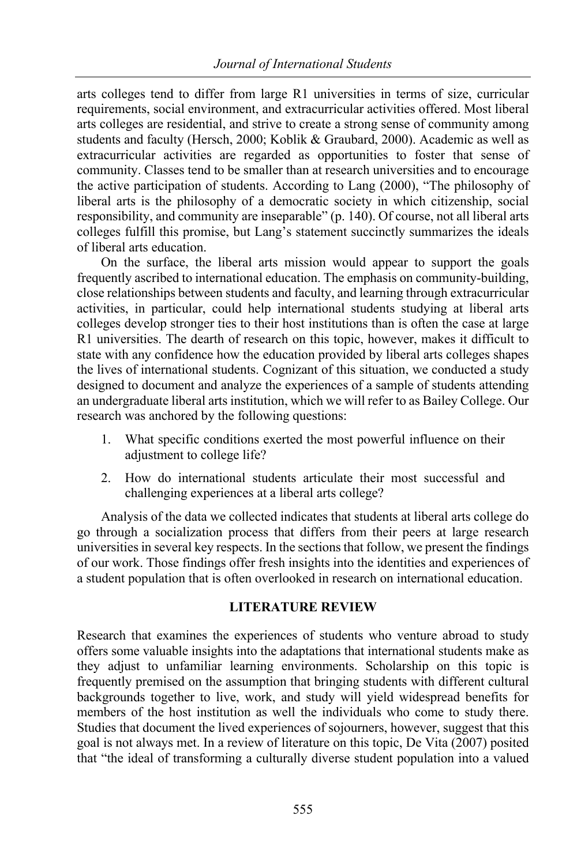arts colleges tend to differ from large R1 universities in terms of size, curricular requirements, social environment, and extracurricular activities offered. Most liberal arts colleges are residential, and strive to create a strong sense of community among students and faculty (Hersch, 2000; Koblik & Graubard, 2000). Academic as well as extracurricular activities are regarded as opportunities to foster that sense of community. Classes tend to be smaller than at research universities and to encourage the active participation of students. According to Lang (2000), "The philosophy of liberal arts is the philosophy of a democratic society in which citizenship, social responsibility, and community are inseparable" (p. 140). Of course, not all liberal arts colleges fulfill this promise, but Lang's statement succinctly summarizes the ideals of liberal arts education.

On the surface, the liberal arts mission would appear to support the goals frequently ascribed to international education. The emphasis on community-building, close relationships between students and faculty, and learning through extracurricular activities, in particular, could help international students studying at liberal arts colleges develop stronger ties to their host institutions than is often the case at large R1 universities. The dearth of research on this topic, however, makes it difficult to state with any confidence how the education provided by liberal arts colleges shapes the lives of international students. Cognizant of this situation, we conducted a study designed to document and analyze the experiences of a sample of students attending an undergraduate liberal arts institution, which we will refer to as Bailey College. Our research was anchored by the following questions:

- 1. What specific conditions exerted the most powerful influence on their adjustment to college life?
- 2. How do international students articulate their most successful and challenging experiences at a liberal arts college?

Analysis of the data we collected indicates that students at liberal arts college do go through a socialization process that differs from their peers at large research universities in several key respects. In the sections that follow, we present the findings of our work. Those findings offer fresh insights into the identities and experiences of a student population that is often overlooked in research on international education.

# **LITERATURE REVIEW**

Research that examines the experiences of students who venture abroad to study offers some valuable insights into the adaptations that international students make as they adjust to unfamiliar learning environments. Scholarship on this topic is frequently premised on the assumption that bringing students with different cultural backgrounds together to live, work, and study will yield widespread benefits for members of the host institution as well the individuals who come to study there. Studies that document the lived experiences of sojourners, however, suggest that this goal is not always met. In a review of literature on this topic, De Vita (2007) posited that "the ideal of transforming a culturally diverse student population into a valued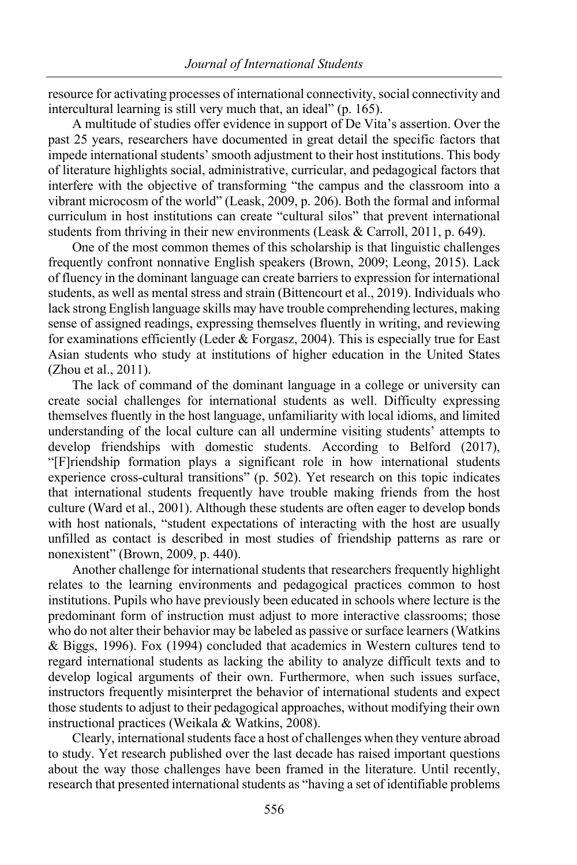resource for activating processes of international connectivity, social connectivity and intercultural learning is still very much that, an ideal" (p. 165).

A multitude of studies offer evidence in support of De Vita's assertion. Over the past 25 years, researchers have documented in great detail the specific factors that impede international students' smooth adjustment to their host institutions. This body of literature highlights social, administrative, curricular, and pedagogical factors that interfere with the objective of transforming "the campus and the classroom into a vibrant microcosm of the world" (Leask, 2009, p. 206). Both the formal and informal curriculum in host institutions can create "cultural silos" that prevent international students from thriving in their new environments (Leask & Carroll, 2011, p. 649).

One of the most common themes of this scholarship is that linguistic challenges frequently confront nonnative English speakers (Brown, 2009; Leong, 2015). Lack of fluency in the dominant language can create barriers to expression for international students, as well as mental stress and strain (Bittencourt et al., 2019). Individuals who lack strong English language skills may have trouble comprehending lectures, making sense of assigned readings, expressing themselves fluently in writing, and reviewing for examinations efficiently (Leder & Forgasz, 2004). This is especially true for East Asian students who study at institutions of higher education in the United States (Zhou et al., 2011).

The lack of command of the dominant language in a college or university can create social challenges for international students as well. Difficulty expressing themselves fluently in the host language, unfamiliarity with local idioms, and limited understanding of the local culture can all undermine visiting students' attempts to develop friendships with domestic students. According to Belford (2017), "[F]riendship formation plays a significant role in how international students experience cross-cultural transitions" (p. 502). Yet research on this topic indicates that international students frequently have trouble making friends from the host culture (Ward et al., 2001). Although these students are often eager to develop bonds with host nationals, "student expectations of interacting with the host are usually unfilled as contact is described in most studies of friendship patterns as rare or nonexistent" (Brown, 2009, p. 440).

Another challenge for international students that researchers frequently highlight relates to the learning environments and pedagogical practices common to host institutions. Pupils who have previously been educated in schools where lecture is the predominant form of instruction must adjust to more interactive classrooms; those who do not alter their behavior may be labeled as passive or surface learners (Watkins & Biggs, 1996). Fox (1994) concluded that academics in Western cultures tend to regard international students as lacking the ability to analyze difficult texts and to develop logical arguments of their own. Furthermore, when such issues surface, instructors frequently misinterpret the behavior of international students and expect those students to adjust to their pedagogical approaches, without modifying their own instructional practices (Weikala & Watkins, 2008).

Clearly, international students face a host of challenges when they venture abroad to study. Yet research published over the last decade has raised important questions about the way those challenges have been framed in the literature. Until recently, research that presented international students as "having a set of identifiable problems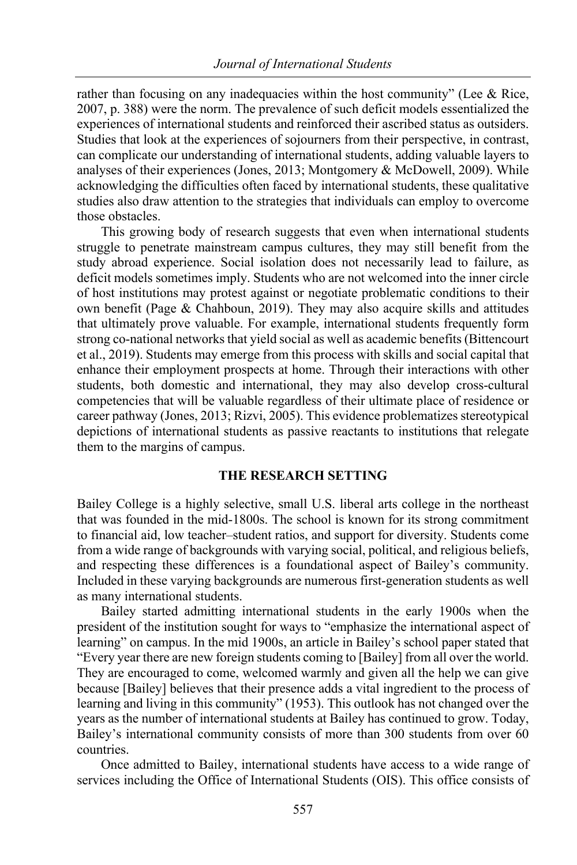rather than focusing on any inadequacies within the host community" (Lee  $& Rice,$ 2007, p. 388) were the norm. The prevalence of such deficit models essentialized the experiences of international students and reinforced their ascribed status as outsiders. Studies that look at the experiences of sojourners from their perspective, in contrast, can complicate our understanding of international students, adding valuable layers to analyses of their experiences (Jones, 2013; Montgomery & McDowell, 2009). While acknowledging the difficulties often faced by international students, these qualitative studies also draw attention to the strategies that individuals can employ to overcome those obstacles.

This growing body of research suggests that even when international students struggle to penetrate mainstream campus cultures, they may still benefit from the study abroad experience. Social isolation does not necessarily lead to failure, as deficit models sometimes imply. Students who are not welcomed into the inner circle of host institutions may protest against or negotiate problematic conditions to their own benefit (Page & Chahboun, 2019). They may also acquire skills and attitudes that ultimately prove valuable. For example, international students frequently form strong co-national networks that yield social as well as academic benefits (Bittencourt et al., 2019). Students may emerge from this process with skills and social capital that enhance their employment prospects at home. Through their interactions with other students, both domestic and international, they may also develop cross-cultural competencies that will be valuable regardless of their ultimate place of residence or career pathway (Jones, 2013; Rizvi, 2005). This evidence problematizes stereotypical depictions of international students as passive reactants to institutions that relegate them to the margins of campus.

#### **THE RESEARCH SETTING**

Bailey College is a highly selective, small U.S. liberal arts college in the northeast that was founded in the mid-1800s. The school is known for its strong commitment to financial aid, low teacher–student ratios, and support for diversity. Students come from a wide range of backgrounds with varying social, political, and religious beliefs, and respecting these differences is a foundational aspect of Bailey's community. Included in these varying backgrounds are numerous first-generation students as well as many international students.

Bailey started admitting international students in the early 1900s when the president of the institution sought for ways to "emphasize the international aspect of learning" on campus. In the mid 1900s, an article in Bailey's school paper stated that "Every year there are new foreign students coming to [Bailey] from all over the world. They are encouraged to come, welcomed warmly and given all the help we can give because [Bailey] believes that their presence adds a vital ingredient to the process of learning and living in this community" (1953). This outlook has not changed over the years as the number of international students at Bailey has continued to grow. Today, Bailey's international community consists of more than 300 students from over 60 countries.

Once admitted to Bailey, international students have access to a wide range of services including the Office of International Students (OIS). This office consists of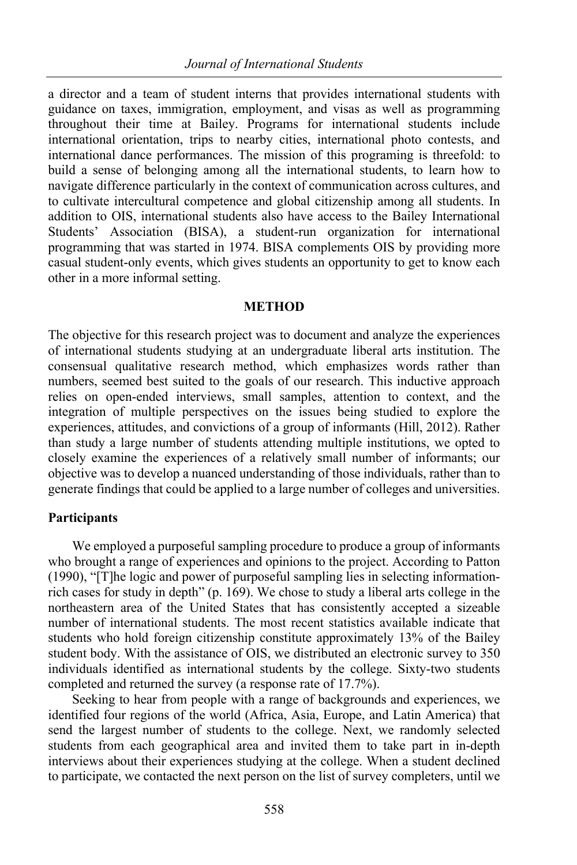a director and a team of student interns that provides international students with guidance on taxes, immigration, employment, and visas as well as programming throughout their time at Bailey. Programs for international students include international orientation, trips to nearby cities, international photo contests, and international dance performances. The mission of this programing is threefold: to build a sense of belonging among all the international students, to learn how to navigate difference particularly in the context of communication across cultures, and to cultivate intercultural competence and global citizenship among all students. In addition to OIS, international students also have access to the Bailey International Students' Association (BISA), a student-run organization for international programming that was started in 1974. BISA complements OIS by providing more casual student-only events, which gives students an opportunity to get to know each other in a more informal setting.

#### **METHOD**

The objective for this research project was to document and analyze the experiences of international students studying at an undergraduate liberal arts institution. The consensual qualitative research method, which emphasizes words rather than numbers, seemed best suited to the goals of our research. This inductive approach relies on open-ended interviews, small samples, attention to context, and the integration of multiple perspectives on the issues being studied to explore the experiences, attitudes, and convictions of a group of informants (Hill, 2012). Rather than study a large number of students attending multiple institutions, we opted to closely examine the experiences of a relatively small number of informants; our objective was to develop a nuanced understanding of those individuals, rather than to generate findings that could be applied to a large number of colleges and universities.

# **Participants**

We employed a purposeful sampling procedure to produce a group of informants who brought a range of experiences and opinions to the project. According to Patton (1990), "[T]he logic and power of purposeful sampling lies in selecting informationrich cases for study in depth" (p. 169). We chose to study a liberal arts college in the northeastern area of the United States that has consistently accepted a sizeable number of international students. The most recent statistics available indicate that students who hold foreign citizenship constitute approximately 13% of the Bailey student body. With the assistance of OIS, we distributed an electronic survey to 350 individuals identified as international students by the college. Sixty-two students completed and returned the survey (a response rate of 17.7%).

Seeking to hear from people with a range of backgrounds and experiences, we identified four regions of the world (Africa, Asia, Europe, and Latin America) that send the largest number of students to the college. Next, we randomly selected students from each geographical area and invited them to take part in in-depth interviews about their experiences studying at the college. When a student declined to participate, we contacted the next person on the list of survey completers, until we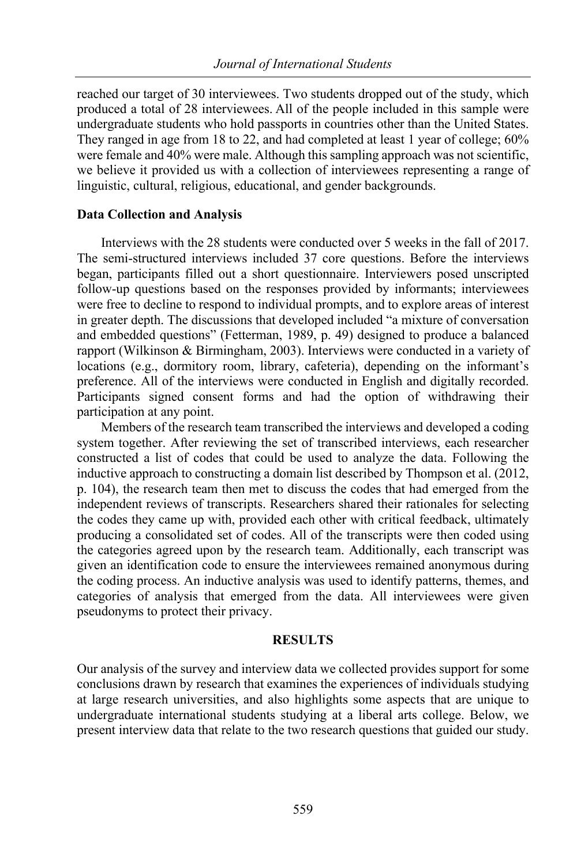reached our target of 30 interviewees. Two students dropped out of the study, which produced a total of 28 interviewees. All of the people included in this sample were undergraduate students who hold passports in countries other than the United States. They ranged in age from 18 to 22, and had completed at least 1 year of college; 60% were female and 40% were male. Although this sampling approach was not scientific, we believe it provided us with a collection of interviewees representing a range of linguistic, cultural, religious, educational, and gender backgrounds.

#### **Data Collection and Analysis**

Interviews with the 28 students were conducted over 5 weeks in the fall of 2017. The semi-structured interviews included 37 core questions. Before the interviews began, participants filled out a short questionnaire. Interviewers posed unscripted follow-up questions based on the responses provided by informants; interviewees were free to decline to respond to individual prompts, and to explore areas of interest in greater depth. The discussions that developed included "a mixture of conversation and embedded questions" (Fetterman, 1989, p. 49) designed to produce a balanced rapport (Wilkinson & Birmingham, 2003). Interviews were conducted in a variety of locations (e.g., dormitory room, library, cafeteria), depending on the informant's preference. All of the interviews were conducted in English and digitally recorded. Participants signed consent forms and had the option of withdrawing their participation at any point.

Members of the research team transcribed the interviews and developed a coding system together. After reviewing the set of transcribed interviews, each researcher constructed a list of codes that could be used to analyze the data. Following the inductive approach to constructing a domain list described by Thompson et al. (2012, p. 104), the research team then met to discuss the codes that had emerged from the independent reviews of transcripts. Researchers shared their rationales for selecting the codes they came up with, provided each other with critical feedback, ultimately producing a consolidated set of codes. All of the transcripts were then coded using the categories agreed upon by the research team. Additionally, each transcript was given an identification code to ensure the interviewees remained anonymous during the coding process. An inductive analysis was used to identify patterns, themes, and categories of analysis that emerged from the data. All interviewees were given pseudonyms to protect their privacy.

#### **RESULTS**

Our analysis of the survey and interview data we collected provides support for some conclusions drawn by research that examines the experiences of individuals studying at large research universities, and also highlights some aspects that are unique to undergraduate international students studying at a liberal arts college. Below, we present interview data that relate to the two research questions that guided our study.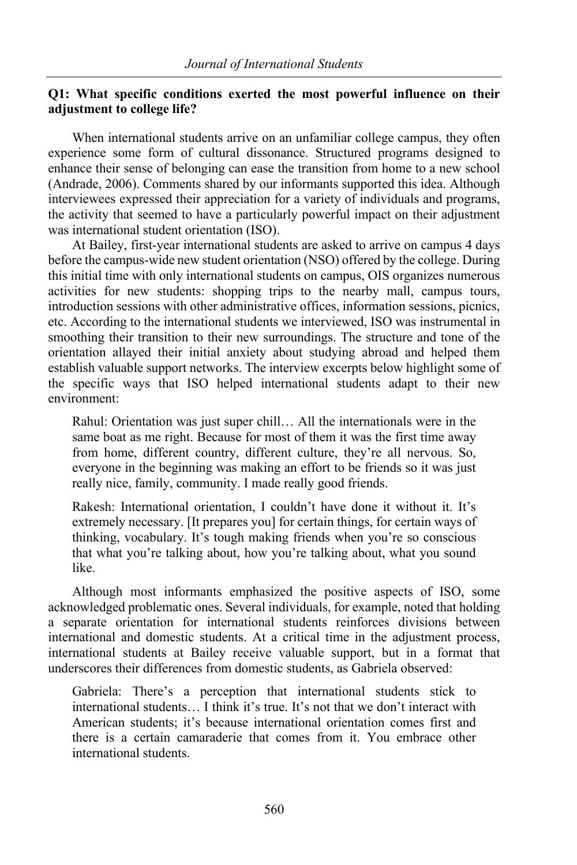#### **Q1: What specific conditions exerted the most powerful influence on their adjustment to college life?**

When international students arrive on an unfamiliar college campus, they often experience some form of cultural dissonance. Structured programs designed to enhance their sense of belonging can ease the transition from home to a new school (Andrade, 2006). Comments shared by our informants supported this idea. Although interviewees expressed their appreciation for a variety of individuals and programs, the activity that seemed to have a particularly powerful impact on their adjustment was international student orientation (ISO).

At Bailey, first-year international students are asked to arrive on campus 4 days before the campus-wide new student orientation (NSO) offered by the college. During this initial time with only international students on campus, OIS organizes numerous activities for new students: shopping trips to the nearby mall, campus tours, introduction sessions with other administrative offices, information sessions, picnics, etc. According to the international students we interviewed, ISO was instrumental in smoothing their transition to their new surroundings. The structure and tone of the orientation allayed their initial anxiety about studying abroad and helped them establish valuable support networks. The interview excerpts below highlight some of the specific ways that ISO helped international students adapt to their new environment:

Rahul: Orientation was just super chill… All the internationals were in the same boat as me right. Because for most of them it was the first time away from home, different country, different culture, they're all nervous. So, everyone in the beginning was making an effort to be friends so it was just really nice, family, community. I made really good friends.

Rakesh: International orientation, I couldn't have done it without it. It's extremely necessary. [It prepares you] for certain things, for certain ways of thinking, vocabulary. It's tough making friends when you're so conscious that what you're talking about, how you're talking about, what you sound like.

Although most informants emphasized the positive aspects of ISO, some acknowledged problematic ones. Several individuals, for example, noted that holding a separate orientation for international students reinforces divisions between international and domestic students. At a critical time in the adjustment process, international students at Bailey receive valuable support, but in a format that underscores their differences from domestic students, as Gabriela observed:

Gabriela: There's a perception that international students stick to international students… I think it's true. It's not that we don't interact with American students; it's because international orientation comes first and there is a certain camaraderie that comes from it. You embrace other international students.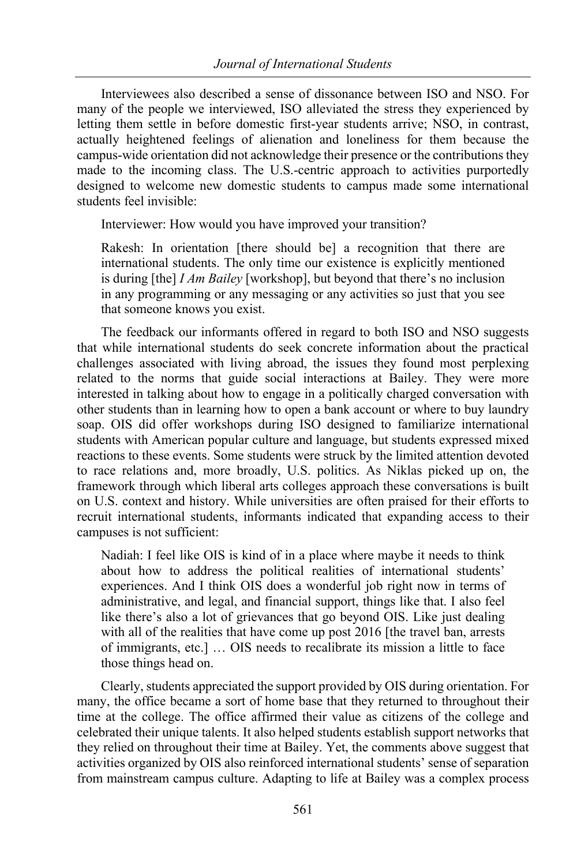Interviewees also described a sense of dissonance between ISO and NSO. For many of the people we interviewed, ISO alleviated the stress they experienced by letting them settle in before domestic first-year students arrive; NSO, in contrast, actually heightened feelings of alienation and loneliness for them because the campus-wide orientation did not acknowledge their presence or the contributions they made to the incoming class. The U.S.-centric approach to activities purportedly designed to welcome new domestic students to campus made some international students feel invisible:

Interviewer: How would you have improved your transition?

Rakesh: In orientation [there should be] a recognition that there are international students. The only time our existence is explicitly mentioned is during [the] *I Am Bailey* [workshop], but beyond that there's no inclusion in any programming or any messaging or any activities so just that you see that someone knows you exist.

The feedback our informants offered in regard to both ISO and NSO suggests that while international students do seek concrete information about the practical challenges associated with living abroad, the issues they found most perplexing related to the norms that guide social interactions at Bailey. They were more interested in talking about how to engage in a politically charged conversation with other students than in learning how to open a bank account or where to buy laundry soap. OIS did offer workshops during ISO designed to familiarize international students with American popular culture and language, but students expressed mixed reactions to these events. Some students were struck by the limited attention devoted to race relations and, more broadly, U.S. politics. As Niklas picked up on, the framework through which liberal arts colleges approach these conversations is built on U.S. context and history. While universities are often praised for their efforts to recruit international students, informants indicated that expanding access to their campuses is not sufficient:

Nadiah: I feel like OIS is kind of in a place where maybe it needs to think about how to address the political realities of international students' experiences. And I think OIS does a wonderful job right now in terms of administrative, and legal, and financial support, things like that. I also feel like there's also a lot of grievances that go beyond OIS. Like just dealing with all of the realities that have come up post 2016 [the travel ban, arrests of immigrants, etc.] … OIS needs to recalibrate its mission a little to face those things head on.

Clearly, students appreciated the support provided by OIS during orientation. For many, the office became a sort of home base that they returned to throughout their time at the college. The office affirmed their value as citizens of the college and celebrated their unique talents. It also helped students establish support networks that they relied on throughout their time at Bailey. Yet, the comments above suggest that activities organized by OIS also reinforced international students' sense of separation from mainstream campus culture. Adapting to life at Bailey was a complex process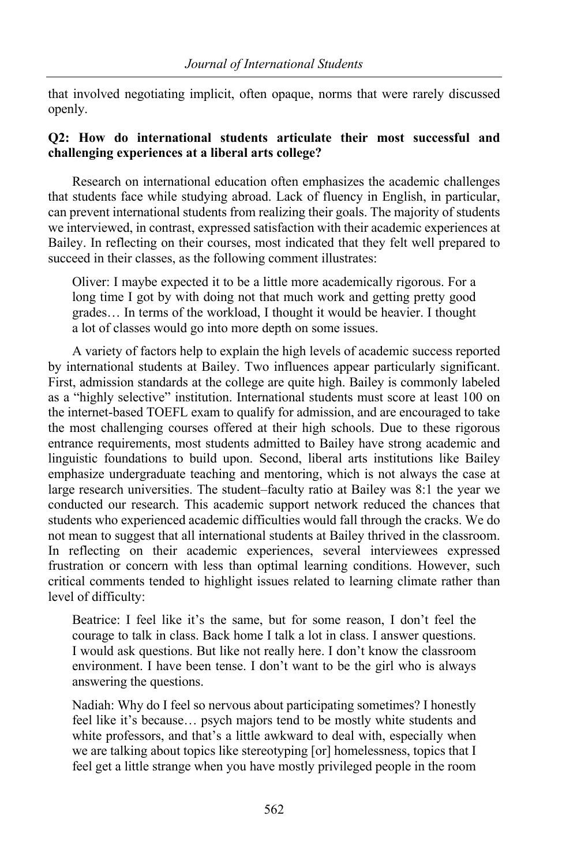that involved negotiating implicit, often opaque, norms that were rarely discussed openly.

# **Q2: How do international students articulate their most successful and challenging experiences at a liberal arts college?**

Research on international education often emphasizes the academic challenges that students face while studying abroad. Lack of fluency in English, in particular, can prevent international students from realizing their goals. The majority of students we interviewed, in contrast, expressed satisfaction with their academic experiences at Bailey. In reflecting on their courses, most indicated that they felt well prepared to succeed in their classes, as the following comment illustrates:

Oliver: I maybe expected it to be a little more academically rigorous. For a long time I got by with doing not that much work and getting pretty good grades… In terms of the workload, I thought it would be heavier. I thought a lot of classes would go into more depth on some issues.

A variety of factors help to explain the high levels of academic success reported by international students at Bailey. Two influences appear particularly significant. First, admission standards at the college are quite high. Bailey is commonly labeled as a "highly selective" institution. International students must score at least 100 on the internet-based TOEFL exam to qualify for admission, and are encouraged to take the most challenging courses offered at their high schools. Due to these rigorous entrance requirements, most students admitted to Bailey have strong academic and linguistic foundations to build upon. Second, liberal arts institutions like Bailey emphasize undergraduate teaching and mentoring, which is not always the case at large research universities. The student–faculty ratio at Bailey was 8:1 the year we conducted our research. This academic support network reduced the chances that students who experienced academic difficulties would fall through the cracks. We do not mean to suggest that all international students at Bailey thrived in the classroom. In reflecting on their academic experiences, several interviewees expressed frustration or concern with less than optimal learning conditions. However, such critical comments tended to highlight issues related to learning climate rather than level of difficulty:

Beatrice: I feel like it's the same, but for some reason, I don't feel the courage to talk in class. Back home I talk a lot in class. I answer questions. I would ask questions. But like not really here. I don't know the classroom environment. I have been tense. I don't want to be the girl who is always answering the questions.

Nadiah: Why do I feel so nervous about participating sometimes? I honestly feel like it's because… psych majors tend to be mostly white students and white professors, and that's a little awkward to deal with, especially when we are talking about topics like stereotyping [or] homelessness, topics that I feel get a little strange when you have mostly privileged people in the room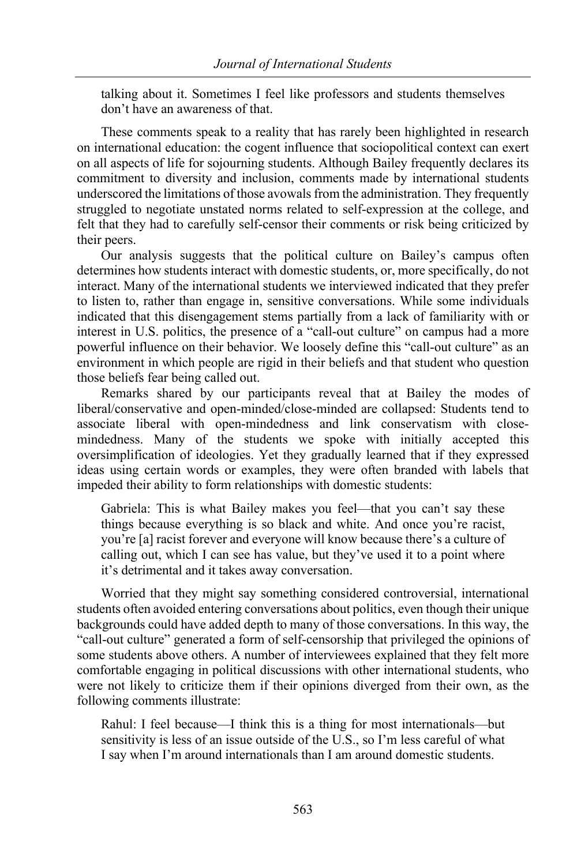talking about it. Sometimes I feel like professors and students themselves don't have an awareness of that.

These comments speak to a reality that has rarely been highlighted in research on international education: the cogent influence that sociopolitical context can exert on all aspects of life for sojourning students. Although Bailey frequently declares its commitment to diversity and inclusion, comments made by international students underscored the limitations of those avowals from the administration. They frequently struggled to negotiate unstated norms related to self-expression at the college, and felt that they had to carefully self-censor their comments or risk being criticized by their peers.

Our analysis suggests that the political culture on Bailey's campus often determines how students interact with domestic students, or, more specifically, do not interact. Many of the international students we interviewed indicated that they prefer to listen to, rather than engage in, sensitive conversations. While some individuals indicated that this disengagement stems partially from a lack of familiarity with or interest in U.S. politics, the presence of a "call-out culture" on campus had a more powerful influence on their behavior. We loosely define this "call-out culture" as an environment in which people are rigid in their beliefs and that student who question those beliefs fear being called out.

Remarks shared by our participants reveal that at Bailey the modes of liberal/conservative and open-minded/close-minded are collapsed: Students tend to associate liberal with open-mindedness and link conservatism with closemindedness. Many of the students we spoke with initially accepted this oversimplification of ideologies. Yet they gradually learned that if they expressed ideas using certain words or examples, they were often branded with labels that impeded their ability to form relationships with domestic students:

Gabriela: This is what Bailey makes you feel—that you can't say these things because everything is so black and white. And once you're racist, you're [a] racist forever and everyone will know because there's a culture of calling out, which I can see has value, but they've used it to a point where it's detrimental and it takes away conversation.

Worried that they might say something considered controversial, international students often avoided entering conversations about politics, even though their unique backgrounds could have added depth to many of those conversations. In this way, the "call-out culture" generated a form of self-censorship that privileged the opinions of some students above others. A number of interviewees explained that they felt more comfortable engaging in political discussions with other international students, who were not likely to criticize them if their opinions diverged from their own, as the following comments illustrate:

Rahul: I feel because—I think this is a thing for most internationals—but sensitivity is less of an issue outside of the U.S., so I'm less careful of what I say when I'm around internationals than I am around domestic students.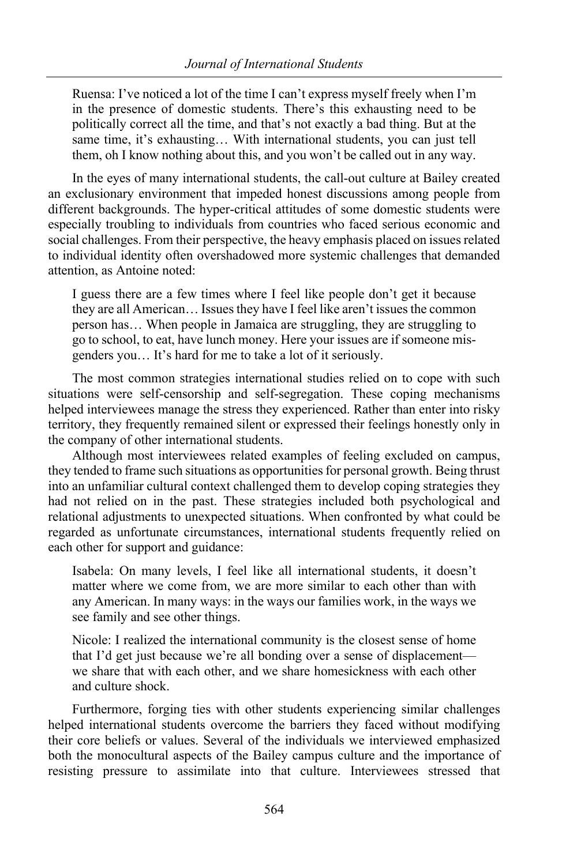Ruensa: I've noticed a lot of the time I can't express myself freely when I'm in the presence of domestic students. There's this exhausting need to be politically correct all the time, and that's not exactly a bad thing. But at the same time, it's exhausting… With international students, you can just tell them, oh I know nothing about this, and you won't be called out in any way.

In the eyes of many international students, the call-out culture at Bailey created an exclusionary environment that impeded honest discussions among people from different backgrounds. The hyper-critical attitudes of some domestic students were especially troubling to individuals from countries who faced serious economic and social challenges. From their perspective, the heavy emphasis placed on issues related to individual identity often overshadowed more systemic challenges that demanded attention, as Antoine noted:

I guess there are a few times where I feel like people don't get it because they are all American… Issues they have I feel like aren't issues the common person has… When people in Jamaica are struggling, they are struggling to go to school, to eat, have lunch money. Here your issues are if someone misgenders you… It's hard for me to take a lot of it seriously.

The most common strategies international studies relied on to cope with such situations were self-censorship and self-segregation. These coping mechanisms helped interviewees manage the stress they experienced. Rather than enter into risky territory, they frequently remained silent or expressed their feelings honestly only in the company of other international students.

Although most interviewees related examples of feeling excluded on campus, they tended to frame such situations as opportunities for personal growth. Being thrust into an unfamiliar cultural context challenged them to develop coping strategies they had not relied on in the past. These strategies included both psychological and relational adjustments to unexpected situations. When confronted by what could be regarded as unfortunate circumstances, international students frequently relied on each other for support and guidance:

Isabela: On many levels, I feel like all international students, it doesn't matter where we come from, we are more similar to each other than with any American. In many ways: in the ways our families work, in the ways we see family and see other things.

Nicole: I realized the international community is the closest sense of home that I'd get just because we're all bonding over a sense of displacement we share that with each other, and we share homesickness with each other and culture shock.

Furthermore, forging ties with other students experiencing similar challenges helped international students overcome the barriers they faced without modifying their core beliefs or values. Several of the individuals we interviewed emphasized both the monocultural aspects of the Bailey campus culture and the importance of resisting pressure to assimilate into that culture. Interviewees stressed that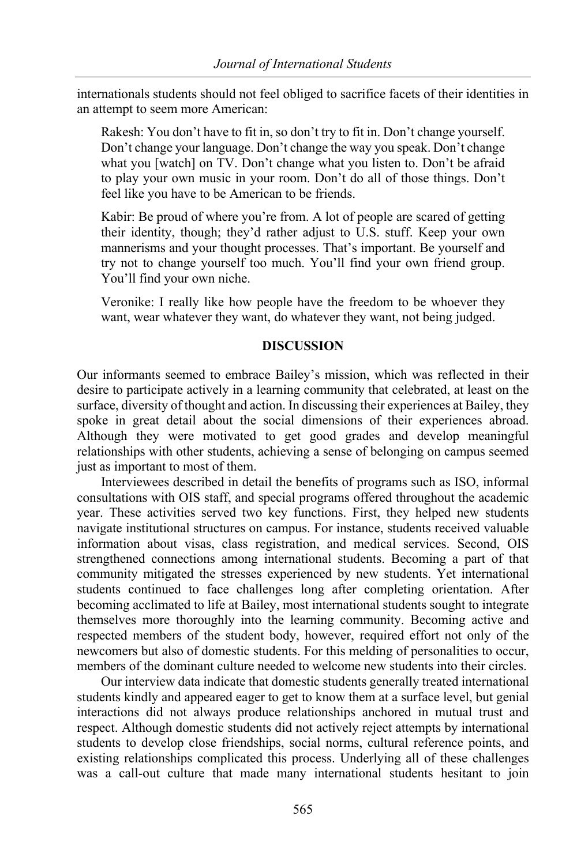internationals students should not feel obliged to sacrifice facets of their identities in an attempt to seem more American:

Rakesh: You don't have to fit in, so don't try to fit in. Don't change yourself. Don't change your language. Don't change the way you speak. Don't change what you [watch] on TV. Don't change what you listen to. Don't be afraid to play your own music in your room. Don't do all of those things. Don't feel like you have to be American to be friends.

Kabir: Be proud of where you're from. A lot of people are scared of getting their identity, though; they'd rather adjust to U.S. stuff. Keep your own mannerisms and your thought processes. That's important. Be yourself and try not to change yourself too much. You'll find your own friend group. You'll find your own niche.

Veronike: I really like how people have the freedom to be whoever they want, wear whatever they want, do whatever they want, not being judged.

#### **DISCUSSION**

Our informants seemed to embrace Bailey's mission, which was reflected in their desire to participate actively in a learning community that celebrated, at least on the surface, diversity of thought and action. In discussing their experiences at Bailey, they spoke in great detail about the social dimensions of their experiences abroad. Although they were motivated to get good grades and develop meaningful relationships with other students, achieving a sense of belonging on campus seemed just as important to most of them.

Interviewees described in detail the benefits of programs such as ISO, informal consultations with OIS staff, and special programs offered throughout the academic year. These activities served two key functions. First, they helped new students navigate institutional structures on campus. For instance, students received valuable information about visas, class registration, and medical services. Second, OIS strengthened connections among international students. Becoming a part of that community mitigated the stresses experienced by new students. Yet international students continued to face challenges long after completing orientation. After becoming acclimated to life at Bailey, most international students sought to integrate themselves more thoroughly into the learning community. Becoming active and respected members of the student body, however, required effort not only of the newcomers but also of domestic students. For this melding of personalities to occur, members of the dominant culture needed to welcome new students into their circles.

Our interview data indicate that domestic students generally treated international students kindly and appeared eager to get to know them at a surface level, but genial interactions did not always produce relationships anchored in mutual trust and respect. Although domestic students did not actively reject attempts by international students to develop close friendships, social norms, cultural reference points, and existing relationships complicated this process. Underlying all of these challenges was a call-out culture that made many international students hesitant to join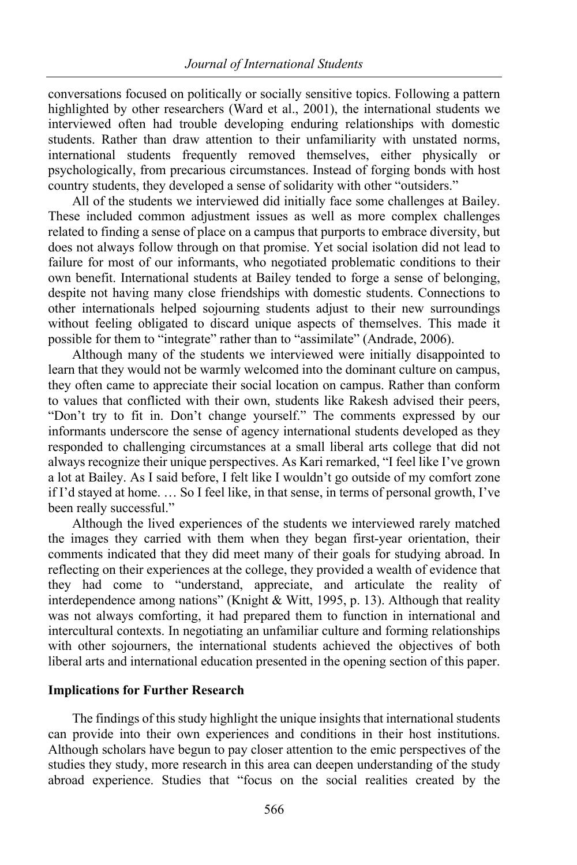conversations focused on politically or socially sensitive topics. Following a pattern highlighted by other researchers (Ward et al., 2001), the international students we interviewed often had trouble developing enduring relationships with domestic students. Rather than draw attention to their unfamiliarity with unstated norms, international students frequently removed themselves, either physically or psychologically, from precarious circumstances. Instead of forging bonds with host country students, they developed a sense of solidarity with other "outsiders."

All of the students we interviewed did initially face some challenges at Bailey. These included common adjustment issues as well as more complex challenges related to finding a sense of place on a campus that purports to embrace diversity, but does not always follow through on that promise. Yet social isolation did not lead to failure for most of our informants, who negotiated problematic conditions to their own benefit. International students at Bailey tended to forge a sense of belonging, despite not having many close friendships with domestic students. Connections to other internationals helped sojourning students adjust to their new surroundings without feeling obligated to discard unique aspects of themselves. This made it possible for them to "integrate" rather than to "assimilate" (Andrade, 2006).

Although many of the students we interviewed were initially disappointed to learn that they would not be warmly welcomed into the dominant culture on campus, they often came to appreciate their social location on campus. Rather than conform to values that conflicted with their own, students like Rakesh advised their peers, "Don't try to fit in. Don't change yourself." The comments expressed by our informants underscore the sense of agency international students developed as they responded to challenging circumstances at a small liberal arts college that did not always recognize their unique perspectives. As Kari remarked, "I feel like I've grown a lot at Bailey. As I said before, I felt like I wouldn't go outside of my comfort zone if I'd stayed at home. … So I feel like, in that sense, in terms of personal growth, I've been really successful."

Although the lived experiences of the students we interviewed rarely matched the images they carried with them when they began first-year orientation, their comments indicated that they did meet many of their goals for studying abroad. In reflecting on their experiences at the college, they provided a wealth of evidence that they had come to "understand, appreciate, and articulate the reality of interdependence among nations" (Knight & Witt, 1995, p. 13). Although that reality was not always comforting, it had prepared them to function in international and intercultural contexts. In negotiating an unfamiliar culture and forming relationships with other sojourners, the international students achieved the objectives of both liberal arts and international education presented in the opening section of this paper.

# **Implications for Further Research**

The findings of this study highlight the unique insights that international students can provide into their own experiences and conditions in their host institutions. Although scholars have begun to pay closer attention to the emic perspectives of the studies they study, more research in this area can deepen understanding of the study abroad experience. Studies that "focus on the social realities created by the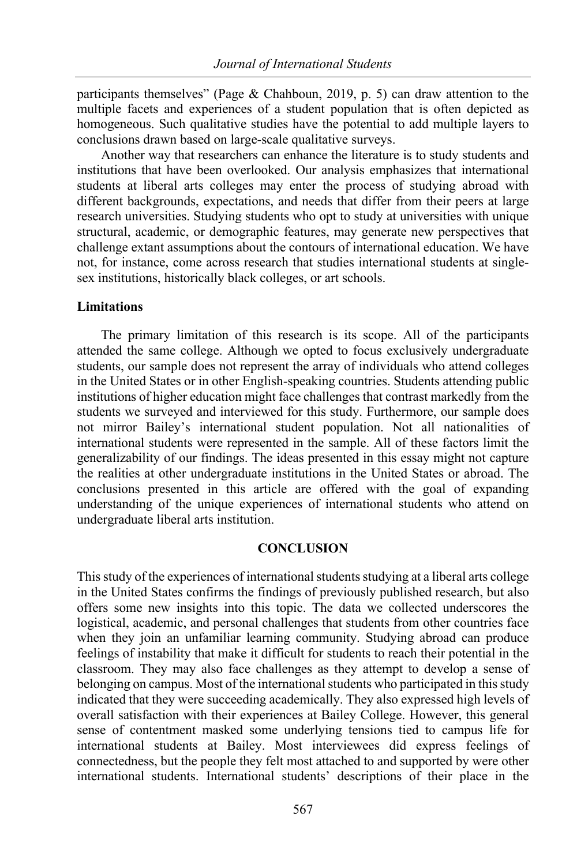participants themselves" (Page & Chahboun, 2019, p. 5) can draw attention to the multiple facets and experiences of a student population that is often depicted as homogeneous. Such qualitative studies have the potential to add multiple layers to conclusions drawn based on large-scale qualitative surveys.

Another way that researchers can enhance the literature is to study students and institutions that have been overlooked. Our analysis emphasizes that international students at liberal arts colleges may enter the process of studying abroad with different backgrounds, expectations, and needs that differ from their peers at large research universities. Studying students who opt to study at universities with unique structural, academic, or demographic features, may generate new perspectives that challenge extant assumptions about the contours of international education. We have not, for instance, come across research that studies international students at singlesex institutions, historically black colleges, or art schools.

# **Limitations**

The primary limitation of this research is its scope. All of the participants attended the same college. Although we opted to focus exclusively undergraduate students, our sample does not represent the array of individuals who attend colleges in the United States or in other English-speaking countries. Students attending public institutions of higher education might face challenges that contrast markedly from the students we surveyed and interviewed for this study. Furthermore, our sample does not mirror Bailey's international student population. Not all nationalities of international students were represented in the sample. All of these factors limit the generalizability of our findings. The ideas presented in this essay might not capture the realities at other undergraduate institutions in the United States or abroad. The conclusions presented in this article are offered with the goal of expanding understanding of the unique experiences of international students who attend on undergraduate liberal arts institution.

#### **CONCLUSION**

This study of the experiences of international students studying at a liberal arts college in the United States confirms the findings of previously published research, but also offers some new insights into this topic. The data we collected underscores the logistical, academic, and personal challenges that students from other countries face when they join an unfamiliar learning community. Studying abroad can produce feelings of instability that make it difficult for students to reach their potential in the classroom. They may also face challenges as they attempt to develop a sense of belonging on campus. Most of the international students who participated in this study indicated that they were succeeding academically. They also expressed high levels of overall satisfaction with their experiences at Bailey College. However, this general sense of contentment masked some underlying tensions tied to campus life for international students at Bailey. Most interviewees did express feelings of connectedness, but the people they felt most attached to and supported by were other international students. International students' descriptions of their place in the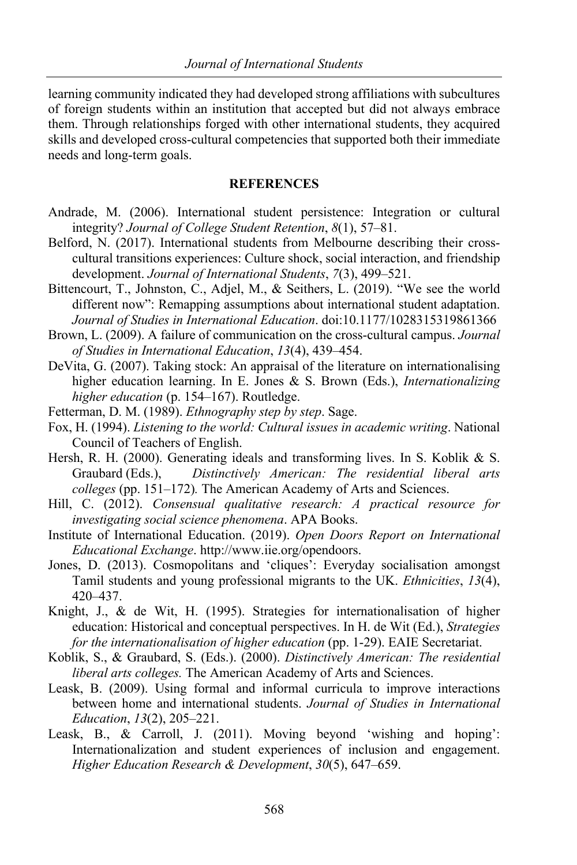learning community indicated they had developed strong affiliations with subcultures of foreign students within an institution that accepted but did not always embrace them. Through relationships forged with other international students, they acquired skills and developed cross-cultural competencies that supported both their immediate needs and long-term goals.

#### **REFERENCES**

- Andrade, M. (2006). International student persistence: Integration or cultural integrity? *Journal of College Student Retention*, *8*(1), 57–81.
- Belford, N. (2017). International students from Melbourne describing their crosscultural transitions experiences: Culture shock, social interaction, and friendship development. *Journal of International Students*, *7*(3), 499–521.
- Bittencourt, T., Johnston, C., Adjel, M., & Seithers, L. (2019). "We see the world different now": Remapping assumptions about international student adaptation. *Journal of Studies in International Education*. doi:10.1177/1028315319861366
- Brown, L. (2009). A failure of communication on the cross-cultural campus. *Journal of Studies in International Education*, *13*(4), 439–454.
- DeVita, G. (2007). Taking stock: An appraisal of the literature on internationalising higher education learning. In E. Jones & S. Brown (Eds.), *Internationalizing higher education* (p. 154–167). Routledge.
- Fetterman, D. M. (1989). *Ethnography step by step*. Sage.
- Fox, H. (1994). *Listening to the world: Cultural issues in academic writing*. National Council of Teachers of English.
- Hersh, R. H. (2000). Generating ideals and transforming lives. In S. Koblik & S. Graubard (Eds.), *Distinctively American: The residential liberal arts colleges* (pp. 151–172)*.* The American Academy of Arts and Sciences.
- Hill, C. (2012). *Consensual qualitative research: A practical resource for investigating social science phenomena*. APA Books.
- Institute of International Education. (2019). *Open Doors Report on International Educational Exchange*. http://www.iie.org/opendoors.
- Jones, D. (2013). Cosmopolitans and 'cliques': Everyday socialisation amongst Tamil students and young professional migrants to the UK. *Ethnicities*, *13*(4), 420–437.
- Knight, J., & de Wit, H. (1995). Strategies for internationalisation of higher education: Historical and conceptual perspectives. In H. de Wit (Ed.), *Strategies for the internationalisation of higher education* (pp. 1-29). EAIE Secretariat.
- Koblik, S., & Graubard, S. (Eds.). (2000). *Distinctively American: The residential liberal arts colleges.* The American Academy of Arts and Sciences.
- Leask, B. (2009). Using formal and informal curricula to improve interactions between home and international students. *Journal of Studies in International Education*, *13*(2), 205–221.
- Leask, B., & Carroll, J. (2011). Moving beyond 'wishing and hoping': Internationalization and student experiences of inclusion and engagement. *Higher Education Research & Development*, *30*(5), 647–659.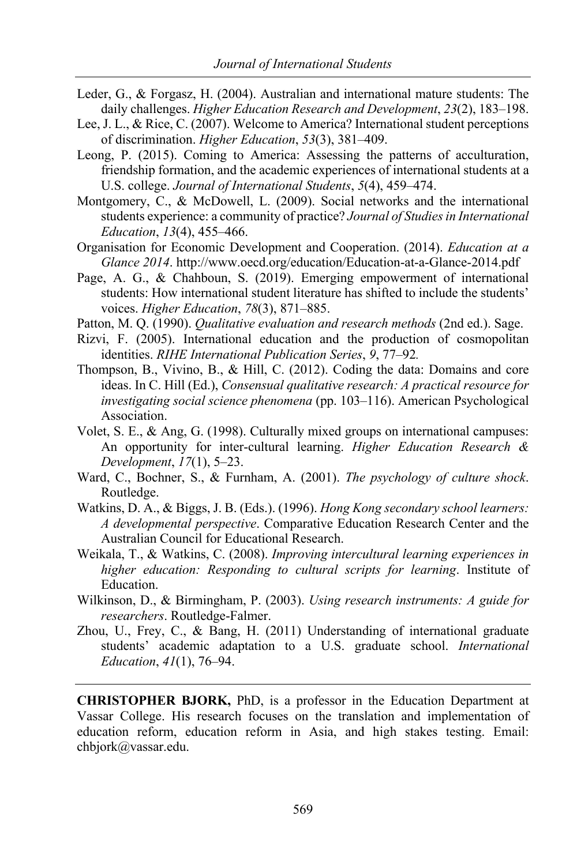- Leder, G., & Forgasz, H. (2004). Australian and international mature students: The daily challenges. *Higher Education Research and Development*, *23*(2), 183–198.
- Lee, J. L., & Rice, C. (2007). Welcome to America? International student perceptions of discrimination. *Higher Education*, *53*(3), 381–409.
- Leong, P. (2015). Coming to America: Assessing the patterns of acculturation, friendship formation, and the academic experiences of international students at a U.S. college. *Journal of International Students*, *5*(4), 459–474.
- Montgomery, C., & McDowell, L. (2009). Social networks and the international students experience: a community of practice? *Journal of Studies in International Education*, *13*(4), 455–466.
- Organisation for Economic Development and Cooperation. (2014). *Education at a Glance 2014*. http://www.oecd.org/education/Education-at-a-Glance-2014.pdf
- Page, A. G., & Chahboun, S. (2019). Emerging empowerment of international students: How international student literature has shifted to include the students' voices. *Higher Education*, *78*(3), 871–885.
- Patton, M. Q. (1990). *Qualitative evaluation and research methods* (2nd ed.). Sage.
- Rizvi, F. (2005). International education and the production of cosmopolitan identities. *RIHE International Publication Series*, *9*, 77–92*.*
- Thompson, B., Vivino, B., & Hill, C. (2012). Coding the data: Domains and core ideas. In C. Hill (Ed.), *Consensual qualitative research: A practical resource for investigating social science phenomena* (pp. 103–116). American Psychological Association.
- Volet, S. E., & Ang, G. (1998). Culturally mixed groups on international campuses: An opportunity for inter-cultural learning. *Higher Education Research & Development*, *17*(1), 5–23.
- Ward, C., Bochner, S., & Furnham, A. (2001). *The psychology of culture shock*. Routledge.
- Watkins, D. A., & Biggs, J. B. (Eds.). (1996). *Hong Kong secondary school learners: A developmental perspective*. Comparative Education Research Center and the Australian Council for Educational Research.
- Weikala, T., & Watkins, C. (2008). *Improving intercultural learning experiences in higher education: Responding to cultural scripts for learning*. Institute of Education.
- Wilkinson, D., & Birmingham, P. (2003). *Using research instruments: A guide for researchers*. Routledge-Falmer.
- Zhou, U., Frey, C., & Bang, H. (2011) Understanding of international graduate students' academic adaptation to a U.S. graduate school. *International Education*, *41*(1), 76–94.

**CHRISTOPHER BJORK,** PhD, is a professor in the Education Department at Vassar College. His research focuses on the translation and implementation of education reform, education reform in Asia, and high stakes testing. Email: chbjork@vassar.edu.